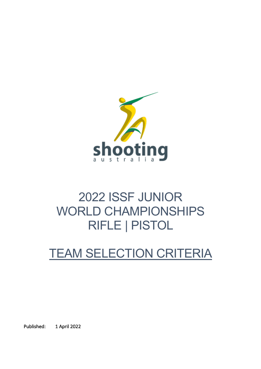

# 2022 ISSF JUNIOR WORLD CHAMPIONSHIPS RIFLE | PISTOL

# TEAM SELECTION CRITERIA

Published: 1 April 2022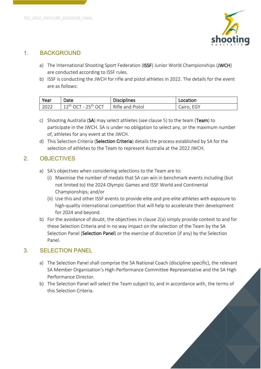

#### 1. BACKGROUND

- a) The International Shooting Sport Federation (ISSF) Junior World Championships (JWCH) are conducted according to ISSF rules.
- b) ISSF is conducting the JWCH for rifle and pistol athletes in 2022. The details for the event are as follows:

| Year | Date                                        | <b>Disciplines</b> | Location   |
|------|---------------------------------------------|--------------------|------------|
| 2022 | $12^{\text{th}}$ OCT - 25 <sup>th</sup> OCT | Rifle and Pistol   | Cairo, EGY |

- c) Shooting Australia (SA) may select athletes (see clause 5) to the team (Team) to participate in the JWCH. SA is under no obligation to select any, or the maximum number of, athletes for any event at the JWCH.
- d) This Selection Criteria (Selection Criteria) details the process established by SA for the selection of athletes to the Team to represent Australia at the 2022 JWCH.

### 2. OBJECTIVES

- a) SA's objectives when considering selections to the Team are to:
	- (i) Maximise the number of medals that SA can win in benchmark events including (but not limited to) the 2024 Olympic Games and ISSF World and Continental Championships; and/or
	- (ii) Use this and other ISSF events to provide elite and pre-elite athletes with exposure to high-quality international competition that will help to accelerate their development for 2024 and beyond.
- b) For the avoidance of doubt, the objectives in clause 2(a) simply provide context to and for these Selection Criteria and in no way impact on the selection of the Team by the SA Selection Panel (Selection Panel) or the exercise of discretion (if any) by the Selection Panel.

#### 3. SELECTION PANEL

- a) The Selection Panel shall comprise the SA National Coach (discipline specific), the relevant SA Member Organisation's High-Performance Committee Representative and the SA High Performance Director.
- b) The Selection Panel will select the Team subject to, and in accordance with, the terms of this Selection Criteria.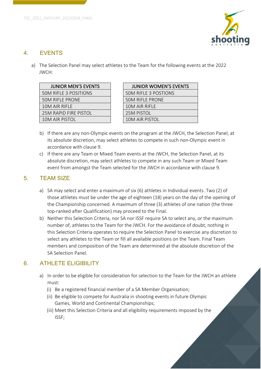

#### 4. EVENTS

a) The Selection Panel may select athletes to the Team for the following events at the 2022 JWCH:

| <b>JUNIOR MEN'S EVENTS</b>   | <b>JUNIOR WOMEN'S E</b>     |
|------------------------------|-----------------------------|
| <b>50M RIFLE 3 POSITIONS</b> | <b>50M RIFLE 3 POSTIONS</b> |
| <b>50M RIFLE PRONE</b>       | <b>50M RIFLE PRONE</b>      |
| 10M AIR RIFLE                | 10M AIR RIFLE               |
| <b>25M RAPID FIRE PISTOL</b> | 25M PISTOL                  |
| 10M AIR PISTOL               | <b>10M AIR PISTOL</b>       |
|                              |                             |

| <b>JUNIOR MEN'S EVENTS</b> | <b>JUNIOR WOMEN'S EVENTS</b> |
|----------------------------|------------------------------|
| <b>I RIFLE 3 POSITIONS</b> | <b>50M RIFLE 3 POSTIONS</b>  |
| I RIFLE PRONE              | <b>50M RIFLE PRONE</b>       |
| I AIR RIFI F               | 10M AIR RIFLE                |
| I RAPID FIRE PISTOL        | <b>25M PISTOL</b>            |
| I AIR PISTOL               | <b>10M AIR PISTOL</b>        |
|                            |                              |

- b) If there are any non-Olympic events on the program at the JWCH, the Selection Panel, at its absolute discretion, may select athletes to compete in such non-Olympic event in accordance with clause 9.
- c) If there are any Team or Mixed Team events at the JWCH, the Selection Panel, at its absolute discretion, may select athletes to compete in any such Team or Mixed Team event from amongst the Team selected for the JWCH in accordance with clause 9.

### 5. TEAM SIZE

- a) SA may select and enter a maximum of six (6) athletes in Individual events. Two (2) of those athletes must be under the age of eighteen (18) years on the day of the opening of the Championship concerned. A maximum of three (3) athletes of one nation (the three top-ranked after Qualification) may proceed to the Final.
- b) Neither this Selection Criteria, nor SA nor ISSF require SA to select any, or the maximum number of, athletes to the Team for the JWCH. For the avoidance of doubt, nothing in this Selection Criteria operates to require the Selection Panel to exercise any discretion to select any athletes to the Team or fill all available positions on the Team. Final Team members and composition of the Team are determined at the absolute discretion of the SA Selection Panel.

## 6. ATHLETE ELIGIBILITY

- a) In order to be eligible for consideration for selection to the Team for the JWCH an athlete must:
	- (i) Be a registered financial member of a SA Member Organisation;
	- (ii) Be eligible to compete for Australia in shooting events in future Olympic Games, World and Continental Championships;
	- (iii) Meet this Selection Criteria and all eligibility requirements imposed by the ISSF;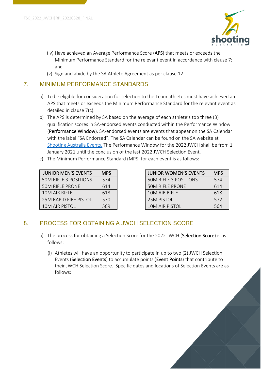

- (iv) Have achieved an Average Performance Score (APS) that meets or exceeds the Minimum Performance Standard for the relevant event in accordance with clause 7; and
- (v) Sign and abide by the SA Athlete Agreement as per clause 12.

#### 7. MINIMUM PERFORMANCE STANDARDS

- a) To be eligible for consideration for selection to the Team athletes must have achieved an APS that meets or exceeds the Minimum Performance Standard for the relevant event as detailed in clause 7(c).
- b) The APS is determined by SA based on the average of each athlete's top three (3) qualification scores in SA-endorsed events conducted within the Performance Window (Performance Window). SA-endorsed events are events that appear on the SA Calendar with the label "SA Endorsed". The SA Calendar can be found on the SA website at Shooting Australia Events. The Performance Window for the 2022 JWCH shall be from 1 January 2021 until the conclusion of the last 2022 JWCH Selection Event.
- c) The Minimum Performance Standard (MPS) for each event is as follows:

| <b>JUNIOR MEN'S EVENTS</b>   | <b>MPS</b> |
|------------------------------|------------|
| <b>50M RIFLE 3 POSITIONS</b> | 574        |
| <b>50M RIFLE PRONE</b>       | 614        |
| 10M AIR RIFLF                | 618        |
| <b>25M RAPID FIRE PISTOL</b> | 570        |
| 10M AIR PISTOL               | 569        |

| <b>JUNIOR MEN'S EVENTS</b>   | <b>MPS</b> | <b>JUNIOR WOMEN'S EVENTS</b> | <b>MPS</b> |
|------------------------------|------------|------------------------------|------------|
| 50M RIFLE 3 POSITIONS        | 574        | <b>50M RIFLE 3 POSITIONS</b> | 574        |
| <b>50M RIFLE PRONE</b>       | 614        | <b>50M RIFLE PRONE</b>       | 614        |
| 10M AIR RIFLE                | 618        | 10M AIR RIFLE                | 618        |
| <b>25M RAPID FIRE PISTOL</b> | 570        | <b>25M PISTOL</b>            | 572        |
| 10M AIR PISTOL               | 569        | 10M AIR PISTOL               | 564        |

#### 8. PROCESS FOR OBTAINING A JWCH SELECTION SCORE

- a) The process for obtaining a Selection Score for the 2022 JWCH (Selection Score) is as follows:
	- (i) Athletes will have an opportunity to participate in up to two (2) JWCH Selection Events (Selection Events) to accumulate points (Event Points) that contribute to their JWCH Selection Score. Specific dates and locations of Selection Events are as follows:

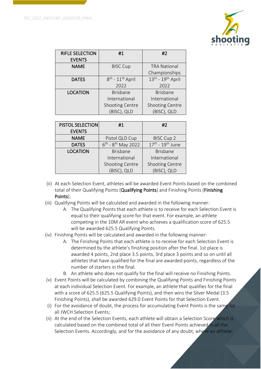

| <b>RIFLE SELECTION</b><br><b>EVENTS</b> | #1                                       | #2                     |
|-----------------------------------------|------------------------------------------|------------------------|
| <b>NAME</b>                             | <b>BISC Cup</b>                          | <b>TRA National</b>    |
|                                         |                                          | Championships          |
| <b>DATES</b>                            | $8^{\text{th}}$ - $11^{\text{th}}$ April | $13th$ - $19th$ April  |
|                                         | 2022                                     | 2022                   |
| <b>LOCATION</b>                         | <b>Brisbane</b>                          | <b>Brisbane</b>        |
|                                         | International                            | International          |
|                                         | <b>Shooting Centre</b>                   | <b>Shooting Centre</b> |
|                                         | (BISC), QLD                              | (BISC), QLD            |

| <b>PISTOL SELECTION</b> | #1                           | #2                     |
|-------------------------|------------------------------|------------------------|
| <b>EVENTS</b>           |                              |                        |
| <b>NAME</b>             | Pistol QLD Cup               | <b>BISC Cup 2</b>      |
| <b>DATES</b>            | $6^{th}$ - $8^{th}$ May 2022 | $17th - 19th$ June     |
| <b>LOCATION</b>         | <b>Brisbane</b>              | <b>Brisbane</b>        |
|                         | International                | International          |
|                         | <b>Shooting Centre</b>       | <b>Shooting Centre</b> |
|                         | (BISC), QLD                  | (BISC), QLD            |

- (ii) At each Selection Event, athletes will be awarded Event Points based on the combined total of their Qualifying Points (Qualifying Points) and Finishing Points (Finishing Points);
- (iii) Qualifying Points will be calculated and awarded in the following manner:
	- A. The Qualifying Points that each athlete is to receive for each Selection Event is equal to their qualifying score for that event. For example, an athlete competing in the 10M AR event who achieves a qualification score of 625.5 will be awarded 625.5 Qualifying Points.
- (iv) Finishing Points will be calculated and awarded in the following manner:
	- A. The Finishing Points that each athlete is to receive for each Selection Event is determined by the athlete's finishing position after the final. 1st place is awarded 4 points, 2nd place 3.5 points, 3rd place 3 points and so on until all athletes that have qualified for the final are awarded points, regardless of the number of starters in the final.
	- B. An athlete who does not qualify for the final will receive no Finishing Points.
- (v) Event Points will be calculated by combining the Qualifying Points and Finishing Points at each individual Selection Event. For example, an athlete that qualifies for the final with a score of 625.5 (625.5 Qualifying Points), and then wins the Silver Medal (3.5 Finishing Points), shall be awarded 629.0 Event Points for that Selection Event.
- (i) For the avoidance of doubt, the process for accumulating Event Points is the same for all JWCH Selection Events;
- (ii) At the end of the Selection Events, each athlete will obtain a Selection Score which is calculated based on the combined total of all their Event Points achieved in all the Selection Events. Accordingly, and for the avoidance of any doubt, where an athlete: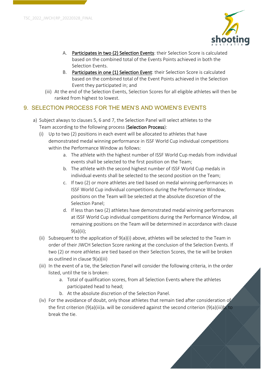

- A. Participates in two (2) Selection Events: their Selection Score is calculated based on the combined total of the Events Points achieved in both the Selection Events.
- B. Participates in one (1) Selection Event: their Selection Score is calculated based on the combined total of the Event Points achieved in the Selection Event they participated in; and
- (iii) At the end of the Selection Events, Selection Scores for all eligible athletes will then be ranked from highest to lowest.

## 9. SELECTION PROCESS FOR THE MEN'S AND WOMEN'S EVENTS

- a) Subject always to clauses 5, 6 and 7, the Selection Panel will select athletes to the Team according to the following process (Selection Process):
	- (i) Up to two (2) positions in each event will be allocated to athletes that have demonstrated medal winning performance in ISSF World Cup individual competitions within the Performance Window as follows:
		- a. The athlete with the highest number of ISSF World Cup medals from individual events shall be selected to the first position on the Team;
		- b. The athlete with the second highest number of ISSF World Cup medals in individual events shall be selected to the second position on the Team;
		- c. If two (2) or more athletes are tied based on medal winning performances in ISSF World Cup individual competitions during the Performance Window, positions on the Team will be selected at the absolute discretion of the Selection Panel;
		- d. If less than two (2) athletes have demonstrated medal winning performances at ISSF World Cup individual competitions during the Performance Window, all remaining positions on the Team will be determined in accordance with clause 9(a)(ii);
	- (ii) Subsequent to the application of 9(a)(i) above, athletes will be selected to the Team in order of their JWCH Selection Score ranking at the conclusion of the Selection Events. If two (2) or more athletes are tied based on their Selection Scores, the tie will be broken as outlined in clause 9(a)(iii)
	- (iii) In the event of a tie, the Selection Panel will consider the following criteria, in the order listed, until the tie is broken:
		- a. Total of qualification scores, from all Selection Events where the athletes participated head to head;
		- b. At the absolute discretion of the Selection Panel.
	- (iv) For the avoidance of doubt, only those athletes that remain tied after consideration of the first criterion (9(a)(iii)a. will be considered against the second criterion (9(a)(iii)b. to break the tie.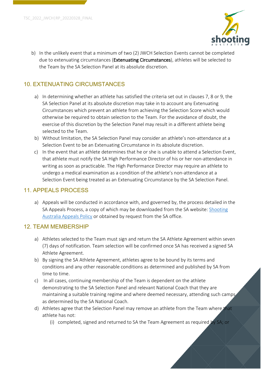

b) In the unlikely event that a minimum of two (2) JWCH Selection Events cannot be completed due to extenuating circumstances (Extenuating Circumstances), athletes will be selected to the Team by the SA Selection Panel at its absolute discretion.

#### 10. EXTENUATING CIRCUMSTANCES

- a) In determining whether an athlete has satisfied the criteria set out in clauses 7, 8 or 9, the SA Selection Panel at its absolute discretion may take in to account any Extenuating Circumstances which prevent an athlete from achieving the Selection Score which would otherwise be required to obtain selection to the Team. For the avoidance of doubt, the exercise of this discretion by the Selection Panel may result in a different athlete being selected to the Team.
- b) Without limitation, the SA Selection Panel may consider an athlete's non-attendance at a Selection Event to be an Extenuating Circumstance in its absolute discretion.
- c) In the event that an athlete determines that he or she is unable to attend a Selection Event, that athlete must notify the SA High Performance Director of his or her non-attendance in writing as soon as practicable. The High Performance Director may require an athlete to undergo a medical examination as a condition of the athlete's non-attendance at a Selection Event being treated as an Extenuating Circumstance by the SA Selection Panel.

#### 11. APPEALS PROCESS

a) Appeals will be conducted in accordance with, and governed by, the process detailed in the SA Appeals Process, a copy of which may be downloaded from the SA website: Shooting Australia Appeals Policy or obtained by request from the SA office.

#### 12. TEAM MEMBERSHIP

- a) Athletes selected to the Team must sign and return the SA Athlete Agreement within seven (7) days of notification. Team selection will be confirmed once SA has received a signed SA Athlete Agreement.
- b) By signing the SA Athlete Agreement, athletes agree to be bound by its terms and conditions and any other reasonable conditions as determined and published by SA from time to time.
- c) In all cases, continuing membership of the Team is dependent on the athlete demonstrating to the SA Selection Panel and relevant National Coach that they are maintaining a suitable training regime and where deemed necessary, attending such camps as determined by the SA National Coach.
- d) Athletes agree that the Selection Panel may remove an athlete from the Team where that athlete has not:
	- (i) completed, signed and returned to SA the Team Agreement as required by SA; or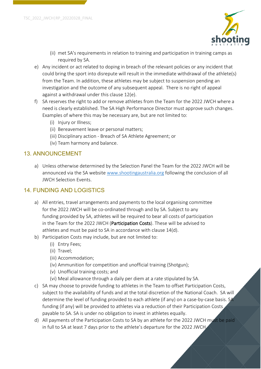

- (ii) met SA's requirements in relation to training and participation in training camps as required by SA.
- e) Any incident or act related to doping in breach of the relevant policies or any incident that could bring the sport into disrepute will result in the immediate withdrawal of the athlete(s) from the Team. In addition, these athletes may be subject to suspension pending an investigation and the outcome of any subsequent appeal. There is no right of appeal against a withdrawal under this clause 12(e).
- f) SA reserves the right to add or remove athletes from the Team for the 2022 JWCH where a need is clearly established. The SA High Performance Director must approve such changes. Examples of where this may be necessary are, but are not limited to:
	- (i) Injury or Illness;
	- (ii) Bereavement leave or personal matters;
	- (iii) Disciplinary action Breach of SA Athlete Agreement; or
	- (iv) Team harmony and balance.

#### 13. ANNOUNCEMENT

a) Unless otherwise determined by the Selection Panel the Team for the 2022 JWCH will be announced via the SA website www.shootingaustralia.org following the conclusion of all JWCH Selection Events.

#### 14. FUNDING AND LOGISTICS

- a) All entries, travel arrangements and payments to the local organising committee for the 2022 JWCH will be co-ordinated through and by SA. Subject to any funding provided by SA, athletes will be required to bear all costs of participation in the Team for the 2022 JWCH (Participation Costs). These will be advised to athletes and must be paid to SA in accordance with clause 14(d).
- b) Participation Costs may include, but are not limited to:
	- (i) Entry Fees;
	- (ii) Travel;
	- (iii) Accommodation;
	- (iv) Ammunition for competition and unofficial training (Shotgun);
	- (v) Unofficial training costs; and
	- (vi) Meal allowance through a daily per diem at a rate stipulated by SA.
- c) SA may choose to provide funding to athletes in the Team to offset Participation Costs, subject to the availability of funds and at the total discretion of the National Coach. SA will determine the level of funding provided to each athlete (if any) on a case-by-case basis. SA funding (if any) will be provided to athletes via a reduction of their Participation Costs payable to SA. SA is under no obligation to invest in athletes equally.
- d) All payments of the Participation Costs to SA by an athlete for the 2022 JWCH must be paid in full to SA at least 7 days prior to the athlete's departure for the 2022 JWCH.